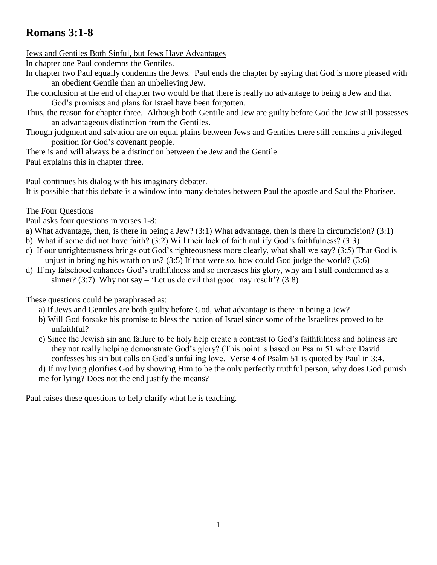# **Romans 3:1-8**

## Jews and Gentiles Both Sinful, but Jews Have Advantages

In chapter one Paul condemns the Gentiles.

- In chapter two Paul equally condemns the Jews. Paul ends the chapter by saying that God is more pleased with an obedient Gentile than an unbelieving Jew.
- The conclusion at the end of chapter two would be that there is really no advantage to being a Jew and that God's promises and plans for Israel have been forgotten.

Thus, the reason for chapter three. Although both Gentile and Jew are guilty before God the Jew still possesses an advantageous distinction from the Gentiles.

Though judgment and salvation are on equal plains between Jews and Gentiles there still remains a privileged position for God's covenant people.

There is and will always be a distinction between the Jew and the Gentile.

Paul explains this in chapter three.

Paul continues his dialog with his imaginary debater.

It is possible that this debate is a window into many debates between Paul the apostle and Saul the Pharisee.

## The Four Questions

Paul asks four questions in verses 1-8:

- a) What advantage, then, is there in being a Jew? (3:1) What advantage, then is there in circumcision? (3:1)
- b) What if some did not have faith? (3:2) Will their lack of faith nullify God's faithfulness? (3:3)
- c) If our unrighteousness brings out God's righteousness more clearly, what shall we say? (3:5) That God is unjust in bringing his wrath on us? (3:5) If that were so, how could God judge the world? (3:6)
- d) If my falsehood enhances God's truthfulness and so increases his glory, why am I still condemned as a sinner? (3:7) Why not say – 'Let us do evil that good may result'? (3:8)

These questions could be paraphrased as:

- a) If Jews and Gentiles are both guilty before God, what advantage is there in being a Jew?
- b) Will God forsake his promise to bless the nation of Israel since some of the Israelites proved to be unfaithful?
- c) Since the Jewish sin and failure to be holy help create a contrast to God's faithfulness and holiness are they not really helping demonstrate God's glory? (This point is based on Psalm 51 where David confesses his sin but calls on God's unfailing love. Verse 4 of Psalm 51 is quoted by Paul in 3:4.
- d) If my lying glorifies God by showing Him to be the only perfectly truthful person, why does God punish me for lying? Does not the end justify the means?

Paul raises these questions to help clarify what he is teaching.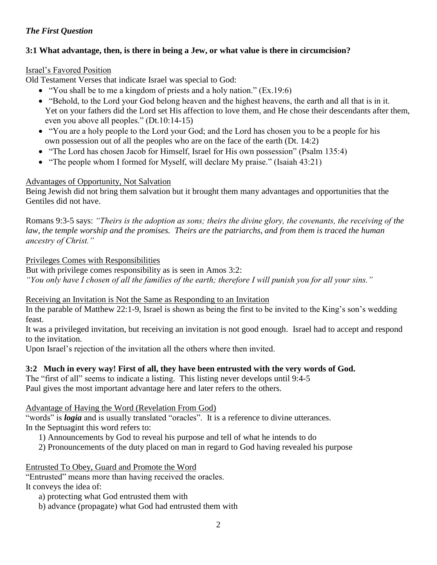# *The First Question*

# **3:1 What advantage, then, is there in being a Jew, or what value is there in circumcision?**

# Israel's Favored Position

Old Testament Verses that indicate Israel was special to God:

- "You shall be to me a kingdom of priests and a holy nation." (Ex.19:6)
- "Behold, to the Lord your God belong heaven and the highest heavens, the earth and all that is in it. Yet on your fathers did the Lord set His affection to love them, and He chose their descendants after them, even you above all peoples." (Dt.10:14-15)
- "You are a holy people to the Lord your God; and the Lord has chosen you to be a people for his own possession out of all the peoples who are on the face of the earth (Dt. 14:2)
- "The Lord has chosen Jacob for Himself, Israel for His own possession" (Psalm 135:4)
- "The people whom I formed for Myself, will declare My praise." (Isaiah 43:21)

# Advantages of Opportunity, Not Salvation

Being Jewish did not bring them salvation but it brought them many advantages and opportunities that the Gentiles did not have.

Romans 9:3-5 says: *"Theirs is the adoption as sons; theirs the divine glory, the covenants, the receiving of the law, the temple worship and the promises. Theirs are the patriarchs, and from them is traced the human ancestry of Christ."*

## Privileges Comes with Responsibilities

But with privilege comes responsibility as is seen in Amos 3:2: *"You only have I chosen of all the families of the earth; therefore I will punish you for all your sins."*

## Receiving an Invitation is Not the Same as Responding to an Invitation

In the parable of Matthew 22:1-9, Israel is shown as being the first to be invited to the King's son's wedding feast.

It was a privileged invitation, but receiving an invitation is not good enough. Israel had to accept and respond to the invitation.

Upon Israel's rejection of the invitation all the others where then invited.

# **3:2 Much in every way! First of all, they have been entrusted with the very words of God.**

The "first of all" seems to indicate a listing. This listing never develops until 9:4-5 Paul gives the most important advantage here and later refers to the others.

# Advantage of Having the Word (Revelation From God)

"words" is *logia* and is usually translated "oracles". It is a reference to divine utterances. In the Septuagint this word refers to:

- 1) Announcements by God to reveal his purpose and tell of what he intends to do
- 2) Pronouncements of the duty placed on man in regard to God having revealed his purpose

## Entrusted To Obey, Guard and Promote the Word

"Entrusted" means more than having received the oracles. It conveys the idea of:

a) protecting what God entrusted them with

b) advance (propagate) what God had entrusted them with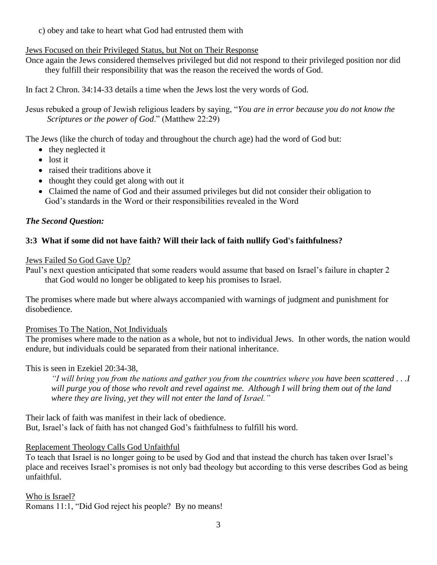c) obey and take to heart what God had entrusted them with

## Jews Focused on their Privileged Status, but Not on Their Response

Once again the Jews considered themselves privileged but did not respond to their privileged position nor did they fulfill their responsibility that was the reason the received the words of God.

In fact 2 Chron. 34:14-33 details a time when the Jews lost the very words of God.

Jesus rebuked a group of Jewish religious leaders by saying, "*You are in error because you do not know the Scriptures or the power of God*." (Matthew 22:29)

The Jews (like the church of today and throughout the church age) had the word of God but:

- they neglected it
- $\bullet$  lost it
- raised their traditions above it
- thought they could get along with out it
- Claimed the name of God and their assumed privileges but did not consider their obligation to God's standards in the Word or their responsibilities revealed in the Word

# *The Second Question:*

# **3:3 What if some did not have faith? Will their lack of faith nullify God's faithfulness?**

Jews Failed So God Gave Up?

Paul's next question anticipated that some readers would assume that based on Israel's failure in chapter 2 that God would no longer be obligated to keep his promises to Israel.

The promises where made but where always accompanied with warnings of judgment and punishment for disobedience.

Promises To The Nation, Not Individuals

The promises where made to the nation as a whole, but not to individual Jews. In other words, the nation would endure, but individuals could be separated from their national inheritance.

# This is seen in Ezekiel 20:34-38,

*"I will bring you from the nations and gather you from the countries where you have been scattered . . .I will purge you of those who revolt and revel against me. Although I will bring them out of the land where they are living, yet they will not enter the land of Israel."*

Their lack of faith was manifest in their lack of obedience. But, Israel's lack of faith has not changed God's faithfulness to fulfill his word.

# Replacement Theology Calls God Unfaithful

To teach that Israel is no longer going to be used by God and that instead the church has taken over Israel's place and receives Israel's promises is not only bad theology but according to this verse describes God as being unfaithful.

Who is Israel?

Romans 11:1, "Did God reject his people? By no means!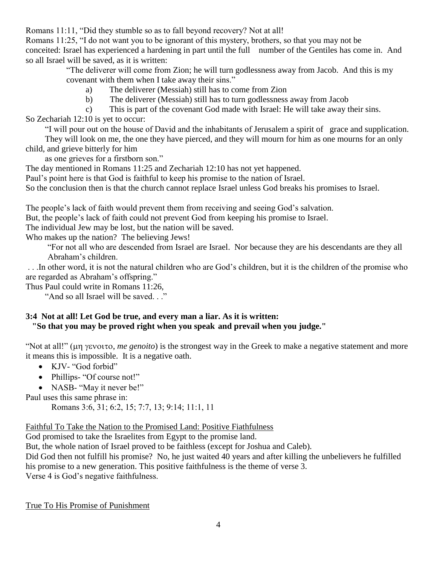Romans 11:11, "Did they stumble so as to fall beyond recovery? Not at all!

Romans 11:25, "I do not want you to be ignorant of this mystery, brothers, so that you may not be conceited: Israel has experienced a hardening in part until the full number of the Gentiles has come in. And so all Israel will be saved, as it is written:

"The deliverer will come from Zion; he will turn godlessness away from Jacob. And this is my covenant with them when I take away their sins."

- a) The deliverer (Messiah) still has to come from Zion
- b) The deliverer (Messiah) still has to turn godlessness away from Jacob
- c) This is part of the covenant God made with Israel: He will take away their sins.

So Zechariah 12:10 is yet to occur:

"I will pour out on the house of David and the inhabitants of Jerusalem a spirit of grace and supplication.

 They will look on me, the one they have pierced, and they will mourn for him as one mourns for an only child, and grieve bitterly for him

as one grieves for a firstborn son."

The day mentioned in Romans 11:25 and Zechariah 12:10 has not yet happened.

Paul's point here is that God is faithful to keep his promise to the nation of Israel.

So the conclusion then is that the church cannot replace Israel unless God breaks his promises to Israel.

The people's lack of faith would prevent them from receiving and seeing God's salvation.

But, the people's lack of faith could not prevent God from keeping his promise to Israel.

The individual Jew may be lost, but the nation will be saved.

Who makes up the nation? The believing Jews!

"For not all who are descended from Israel are Israel. Nor because they are his descendants are they all Abraham's children.

. . .In other word, it is not the natural children who are God's children, but it is the children of the promise who are regarded as Abraham's offspring."

Thus Paul could write in Romans 11:26,

"And so all Israel will be saved. . ."

## **3:4 Not at all! Let God be true, and every man a liar. As it is written: "So that you may be proved right when you speak and prevail when you judge."**

"Not at all!" ( $\mu$ m *y* evoito, *me genoito*) is the strongest way in the Greek to make a negative statement and more it means this is impossible. It is a negative oath.

- KJV- "God forbid"
- Phillips- "Of course not!"

• NASB- "May it never be!"

Paul uses this same phrase in:

Romans 3:6, 31; 6:2, 15; 7:7, 13; 9:14; 11:1, 11

Faithful To Take the Nation to the Promised Land: Positive Fiathfulness

God promised to take the Israelites from Egypt to the promise land.

But, the whole nation of Israel proved to be faithless (except for Joshua and Caleb).

Did God then not fulfill his promise? No, he just waited 40 years and after killing the unbelievers he fulfilled his promise to a new generation. This positive faithfulness is the theme of verse 3.

Verse 4 is God's negative faithfulness.

True To His Promise of Punishment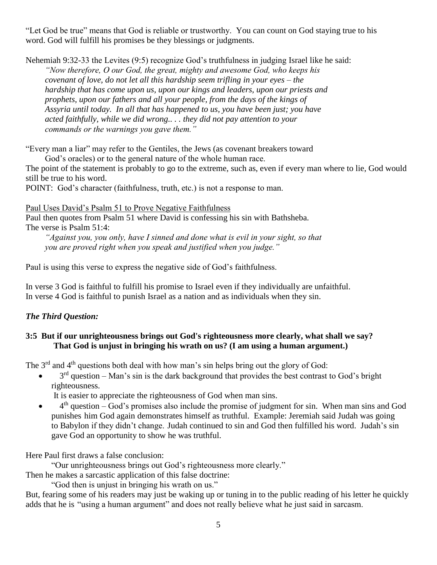"Let God be true" means that God is reliable or trustworthy. You can count on God staying true to his word. God will fulfill his promises be they blessings or judgments.

Nehemiah 9:32-33 the Levites (9:5) recognize God's truthfulness in judging Israel like he said:

 *"Now therefore, O our God, the great, mighty and awesome God, who keeps his covenant of love, do not let all this hardship seem trifling in your eyes – the hardship that has come upon us, upon our kings and leaders, upon our priests and prophets, upon our fathers and all your people, from the days of the kings of Assyria until today. In all that has happened to us, you have been just; you have acted faithfully, while we did wrong.. . . they did not pay attention to your commands or the warnings you gave them."*

"Every man a liar" may refer to the Gentiles, the Jews (as covenant breakers toward

God's oracles) or to the general nature of the whole human race.

The point of the statement is probably to go to the extreme, such as, even if every man where to lie, God would still be true to his word.

POINT: God's character (faithfulness, truth, etc.) is not a response to man.

Paul Uses David's Psalm 51 to Prove Negative Faithfulness

Paul then quotes from Psalm 51 where David is confessing his sin with Bathsheba. The verse is Psalm 51:4:

 *"Against you, you only, have I sinned and done what is evil in your sight, so that you are proved right when you speak and justified when you judge."*

Paul is using this verse to express the negative side of God's faithfulness.

In verse 3 God is faithful to fulfill his promise to Israel even if they individually are unfaithful. In verse 4 God is faithful to punish Israel as a nation and as individuals when they sin.

# *The Third Question:*

# **3:5 But if our unrighteousness brings out God's righteousness more clearly, what shall we say? That God is unjust in bringing his wrath on us? (I am using a human argument.)**

The 3<sup>rd</sup> and 4<sup>th</sup> questions both deal with how man's sin helps bring out the glory of God:

 $\bullet$  3<sup>rd</sup> question – Man's sin is the dark background that provides the best contrast to God's bright righteousness.

It is easier to appreciate the righteousness of God when man sins.

 $\bullet$  4<sup>th</sup> question – God's promises also include the promise of judgment for sin. When man sins and God punishes him God again demonstrates himself as truthful. Example: Jeremiah said Judah was going to Babylon if they didn't change. Judah continued to sin and God then fulfilled his word. Judah's sin gave God an opportunity to show he was truthful.

Here Paul first draws a false conclusion:

"Our unrighteousness brings out God's righteousness more clearly."

Then he makes a sarcastic application of this false doctrine:

"God then is unjust in bringing his wrath on us."

But, fearing some of his readers may just be waking up or tuning in to the public reading of his letter he quickly adds that he is "using a human argument" and does not really believe what he just said in sarcasm.